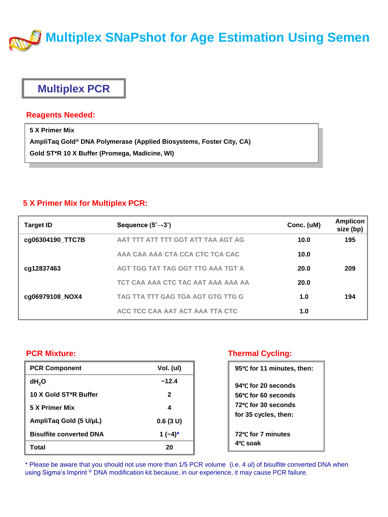

## **Multiplex PCR**

### **Reagents Needed:**

**5 X Primer Mix AmpliTaq Gold® DNA Polymerase (Applied Biosystems, Foster City, CA) Gold ST\*R 10 X Buffer (Promega, Madicine, WI)**

### **5 X Primer Mix for Multiplex PCR:**

| <b>Target ID</b> | Sequence $(5' \rightarrow 3')$     | Conc. (uM) | <b>Amplicon</b><br>size (bp) |
|------------------|------------------------------------|------------|------------------------------|
| cg06304190_TTC7B | AAT TTT ATT TTT GGT ATT TAA AGT AG | 10.0       | 195                          |
|                  | AAA CAA AAA CTA CCA CTC TCA CAC    | 10.0       |                              |
| cq12837463       | AGT TGG TAT TAG GGT TTG AAA TGT A  | 20.0       | 209                          |
|                  | TCT CAA AAA CTC TAC AAT AAA AAA AA | 20.0       |                              |
| cg06979108 NOX4  | TAG TTA TTT GAG TGA AGT GTG TTG G  | 1.0        | 194                          |
|                  | ACC TCC CAA AAT ACT AAA TTA CTC    | 1.0        |                              |

### **PCR Mixture:**

| <b>PCR Component</b>               | Vol. (ul)    |
|------------------------------------|--------------|
| dH <sub>2</sub> O                  | ~12.4        |
| 10 X Gold ST <sup>*</sup> R Buffer | $\mathbf{2}$ |
| 5 X Primer Mix                     | 4            |
| AmpliTaq Gold (5 U/µL)             | 0.6(3 U)     |
| <b>Bisulfite converted DNA</b>     | 1 $(-4)^*$   |
| Total                              | 20           |

### **Thermal Cycling:**

| 95°C for 11 minutes, then:     |
|--------------------------------|
| 94°C for 20 seconds            |
| 56°C for 60 seconds            |
| 72°C for 30 seconds            |
| for 35 cycles, then:           |
| 72°C for 7 minutes<br>4°C soak |

\* Please be aware that you should not use more than 1/5 PCR volume (i.e. 4 ul) of bisulfite converted DNA when using Sigma's Imprint <sup>®</sup> DNA modification kit because, in our experience, it may cause PCR failure.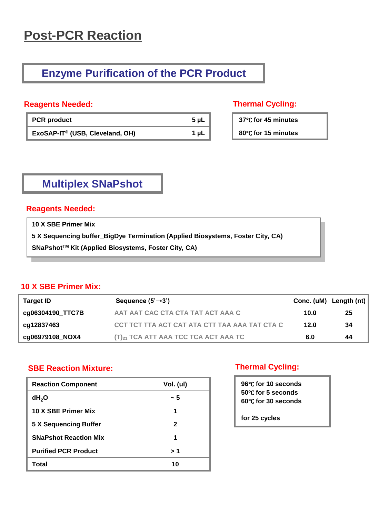# **Post-PCR Reaction**

## **Enzyme Purification of the PCR Product**

### **Reagents Needed: Thermal Cycling:**

| <b>PCR</b> product                          | 5 µL |
|---------------------------------------------|------|
| ExoSAP-IT <sup>®</sup> (USB, Cleveland, OH) | 1 µL |

**37**℃ **for 45 minutes** 

**80**℃ **for 15 minutes** 

# **Multiplex SNaPshot**

### **Reagents Needed:**

**10 X SBE Primer Mix**

**5 X Sequencing buffer\_BigDye Termination (Applied Biosystems, Foster City, CA)**

**SNaPshotTM Kit (Applied Biosystems, Foster City, CA)**

### **10 X SBE Primer Mix:**

| Target ID        | Sequence $(5' \rightarrow 3')$                |      | Conc. (uM) Length (nt) |
|------------------|-----------------------------------------------|------|------------------------|
| cq06304190 TTC7B | AAT AAT CAC CTA CTA TAT ACT AAA C             | 10.0 | 25                     |
| cq12837463       | CCT TCT TTA ACT CAT ATA CTT TAA AAA TAT CTA C | 12.0 | 34                     |
| cg06979108_NOX4  | $(T)_{21}$ TCA ATT AAA TCC TCA ACT AAA TC     | 6.0  | 44                     |

### **SBE Reaction Mixture:**

| <b>Reaction Component</b>    | Vol. (ul) |
|------------------------------|-----------|
| dH <sub>2</sub> O            | ~ 5       |
| 10 X SBE Primer Mix          | 1         |
| <b>5 X Sequencing Buffer</b> | 2         |
| <b>SNaPshot Reaction Mix</b> | 1         |
| <b>Purified PCR Product</b>  | 1 <       |
| Total                        | 10        |

### **Thermal Cycling:**

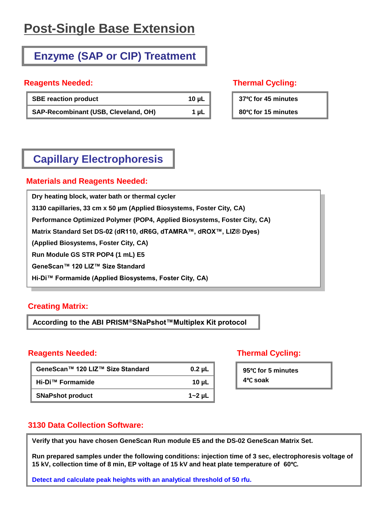# **Post-Single Base Extension**

# **Enzyme (SAP or CIP) Treatment**

### **Reagents Needed: Thermal Cycling:**

| <b>SBE reaction product</b>          | 10 $\mu$ L |
|--------------------------------------|------------|
| SAP-Recombinant (USB, Cleveland, OH) | 1 µL       |

**37**℃ **for 45 minutes** 

**80**℃ **for 15 minutes** 

# **Capillary Electrophoresis**

### **Materials and Reagents Needed:**

**Dry heating block, water bath or thermal cycler 3130 capillaries, 33 cm x 50 µm (Applied Biosystems, Foster City, CA) Performance Optimized Polymer (POP4, Applied Biosystems, Foster City, CA) Matrix Standard Set DS-02 (dR110, dR6G, dTAMRA™, dROX™, LIZ® Dyes) (Applied Biosystems, Foster City, CA) Run Module GS STR POP4 (1 mL) E5 GeneScan™ 120 LIZ™ Size Standard Hi-Di™ Formamide (Applied Biosystems, Foster City, CA)**

### **Creating Matrix:**

**According to the ABI PRISM®SNaPshot™Multiplex Kit protocol**

### **Reagents Needed: Thermal Cycling:**

| GeneScan™ 120 LIZ™ Size Standard | $0.2 \mu L$ |
|----------------------------------|-------------|
| Hi-Di™ Formamide                 | 10 $\mu$ L  |
| <b>SNaPshot product</b>          | $1 - 2$ µL  |

**95**℃ **for 5 minutes 4**℃ **soak**

### **3130 Data Collection Software:**

**Verify that you have chosen GeneScan Run module E5 and the DS-02 GeneScan Matrix Set.**

**Run prepared samples under the following conditions: injection time of 3 sec, electrophoresis voltage of 15 kV, collection time of 8 min, EP voltage of 15 kV and heat plate temperature of 60**℃**.**

**Detect and calculate peak heights with an analytical threshold of 50 rfu.**